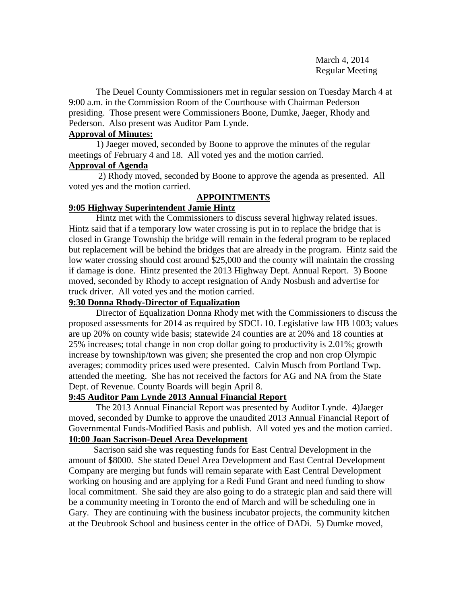March 4, 2014 Regular Meeting

The Deuel County Commissioners met in regular session on Tuesday March 4 at 9:00 a.m. in the Commission Room of the Courthouse with Chairman Pederson presiding. Those present were Commissioners Boone, Dumke, Jaeger, Rhody and Pederson. Also present was Auditor Pam Lynde.

# **Approval of Minutes:**

1) Jaeger moved, seconded by Boone to approve the minutes of the regular meetings of February 4 and 18. All voted yes and the motion carried.

# **Approval of Agenda**

2) Rhody moved, seconded by Boone to approve the agenda as presented. All voted yes and the motion carried.

# **APPOINTMENTS**

# **9:05 Highway Superintendent Jamie Hintz**

Hintz met with the Commissioners to discuss several highway related issues. Hintz said that if a temporary low water crossing is put in to replace the bridge that is closed in Grange Township the bridge will remain in the federal program to be replaced but replacement will be behind the bridges that are already in the program. Hintz said the low water crossing should cost around \$25,000 and the county will maintain the crossing if damage is done. Hintz presented the 2013 Highway Dept. Annual Report. 3) Boone moved, seconded by Rhody to accept resignation of Andy Nosbush and advertise for truck driver. All voted yes and the motion carried.

# **9:30 Donna Rhody-Director of Equalization**

Director of Equalization Donna Rhody met with the Commissioners to discuss the proposed assessments for 2014 as required by SDCL 10. Legislative law HB 1003; values are up 20% on county wide basis; statewide 24 counties are at 20% and 18 counties at 25% increases; total change in non crop dollar going to productivity is 2.01%; growth increase by township/town was given; she presented the crop and non crop Olympic averages; commodity prices used were presented. Calvin Musch from Portland Twp. attended the meeting. She has not received the factors for AG and NA from the State Dept. of Revenue. County Boards will begin April 8.

# **9:45 Auditor Pam Lynde 2013 Annual Financial Report**

The 2013 Annual Financial Report was presented by Auditor Lynde. 4)Jaeger moved, seconded by Dumke to approve the unaudited 2013 Annual Financial Report of Governmental Funds-Modified Basis and publish. All voted yes and the motion carried. **10:00 Joan Sacrison-Deuel Area Development**

 Sacrison said she was requesting funds for East Central Development in the amount of \$8000. She stated Deuel Area Development and East Central Development Company are merging but funds will remain separate with East Central Development working on housing and are applying for a Redi Fund Grant and need funding to show local commitment. She said they are also going to do a strategic plan and said there will be a community meeting in Toronto the end of March and will be scheduling one in Gary. They are continuing with the business incubator projects, the community kitchen at the Deubrook School and business center in the office of DADi. 5) Dumke moved,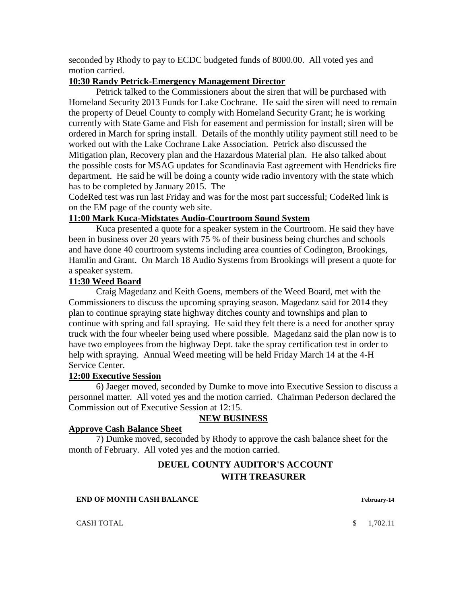seconded by Rhody to pay to ECDC budgeted funds of 8000.00. All voted yes and motion carried.

## **10:30 Randy Petrick-Emergency Management Director**

Petrick talked to the Commissioners about the siren that will be purchased with Homeland Security 2013 Funds for Lake Cochrane. He said the siren will need to remain the property of Deuel County to comply with Homeland Security Grant; he is working currently with State Game and Fish for easement and permission for install; siren will be ordered in March for spring install. Details of the monthly utility payment still need to be worked out with the Lake Cochrane Lake Association. Petrick also discussed the Mitigation plan, Recovery plan and the Hazardous Material plan. He also talked about the possible costs for MSAG updates for Scandinavia East agreement with Hendricks fire department. He said he will be doing a county wide radio inventory with the state which has to be completed by January 2015. The

CodeRed test was run last Friday and was for the most part successful; CodeRed link is on the EM page of the county web site.

## **11:00 Mark Kuca-Midstates Audio-Courtroom Sound System**

Kuca presented a quote for a speaker system in the Courtroom. He said they have been in business over 20 years with 75 % of their business being churches and schools and have done 40 courtroom systems including area counties of Codington, Brookings, Hamlin and Grant. On March 18 Audio Systems from Brookings will present a quote for a speaker system.

## **11:30 Weed Board**

Craig Magedanz and Keith Goens, members of the Weed Board, met with the Commissioners to discuss the upcoming spraying season. Magedanz said for 2014 they plan to continue spraying state highway ditches county and townships and plan to continue with spring and fall spraying. He said they felt there is a need for another spray truck with the four wheeler being used where possible. Magedanz said the plan now is to have two employees from the highway Dept. take the spray certification test in order to help with spraying. Annual Weed meeting will be held Friday March 14 at the 4-H Service Center.

#### **12:00 Executive Session**

6) Jaeger moved, seconded by Dumke to move into Executive Session to discuss a personnel matter. All voted yes and the motion carried. Chairman Pederson declared the Commission out of Executive Session at 12:15.

## **NEW BUSINESS**

#### **Approve Cash Balance Sheet**

7) Dumke moved, seconded by Rhody to approve the cash balance sheet for the month of February. All voted yes and the motion carried.

# **DEUEL COUNTY AUDITOR'S ACCOUNT WITH TREASURER**

**END OF MONTH CASH BALANCE February-14** 

CASH TOTAL 5 1,702.11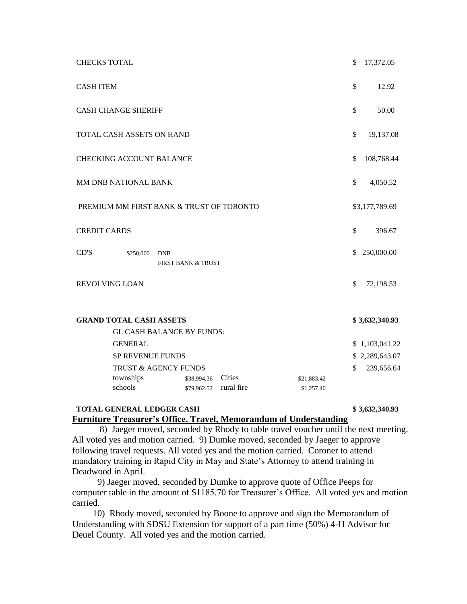| <b>CHECKS TOTAL</b>                      |                                             | \$           | 17,372.05      |
|------------------------------------------|---------------------------------------------|--------------|----------------|
| <b>CASH ITEM</b>                         |                                             |              | 12.92          |
| <b>CASH CHANGE SHERIFF</b>               |                                             |              | 50.00          |
| TOTAL CASH ASSETS ON HAND                |                                             |              | 19,137.08      |
| <b>CHECKING ACCOUNT BALANCE</b>          |                                             |              | 108,768.44     |
| MM DNB NATIONAL BANK                     |                                             | \$           | 4,050.52       |
| PREMIUM MM FIRST BANK & TRUST OF TORONTO |                                             |              | \$3,177,789.69 |
| <b>CREDIT CARDS</b>                      |                                             | $\mathbb{S}$ | 396.67         |
| CD'S<br>\$250,000                        | <b>DNB</b><br><b>FIRST BANK &amp; TRUST</b> | \$           | 250,000.00     |
| <b>REVOLVING LOAN</b>                    |                                             | \$           | 72,198.53      |
| <b>GRAND TOTAL CASH ASSETS</b>           |                                             |              | \$3,632,340.93 |

| <b>GL CASH BALANCE BY FUNDS:</b> |             |            |             |  |                |
|----------------------------------|-------------|------------|-------------|--|----------------|
| <b>GENERAL</b>                   |             |            |             |  | \$1,103,041.22 |
| <b>SP REVENUE FUNDS</b>          |             |            |             |  | \$2,289,643.07 |
| TRUST & AGENCY FUNDS             |             |            |             |  | 239,656.64     |
| townships                        | \$38,994.36 | Cities     | \$21,883.42 |  |                |
| schools                          | \$79,962.52 | rural fire | \$1,257.40  |  |                |
|                                  |             |            |             |  |                |

## **TOTAL GENERAL LEDGER CASH \$ 3,632,340.93 Furniture Treasurer's Office, Travel, Memorandum of Understanding**

 8) Jaeger moved, seconded by Rhody to table travel voucher until the next meeting. All voted yes and motion carried. 9) Dumke moved, seconded by Jaeger to approve following travel requests. All voted yes and the motion carried. Coroner to attend mandatory training in Rapid City in May and State's Attorney to attend training in Deadwood in April.

 9) Jaeger moved, seconded by Dumke to approve quote of Office Peeps for computer table in the amount of \$1185.70 for Treasurer's Office. All voted yes and motion carried.

 10) Rhody moved, seconded by Boone to approve and sign the Memorandum of Understanding with SDSU Extension for support of a part time (50%) 4-H Advisor for Deuel County. All voted yes and the motion carried.